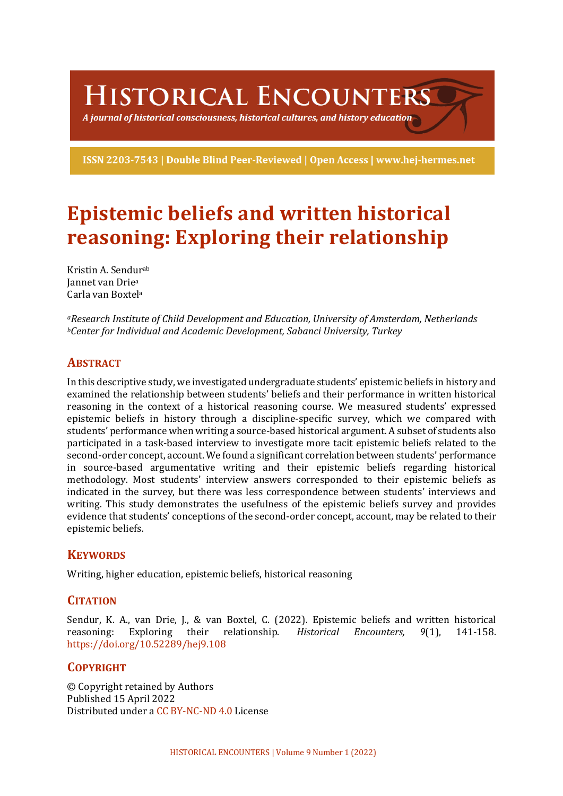HISTORICAL ENCOUNTERS

A journal of historical consciousness, historical cultures, and history education  $\geq$ 

ISSN 2203-7543 | Double Blind Peer-Reviewed | Open Access | www.hej-hermes.net

# **Epistemic beliefs and written historical reasoning: Exploring their relationship**

Kristin A. Sendur<sup>ab</sup> **Jannet van Driea** Carla van Boxtela

*aResearch Institute of Child Development and Education, University of Amsterdam, Netherlands bCenter for Individual and Academic Development, Sabanci University, Turkey*

## **ABSTRACT**

In this descriptive study, we investigated undergraduate students' epistemic beliefs in history and examined the relationship between students' beliefs and their performance in written historical reasoning in the context of a historical reasoning course. We measured students' expressed epistemic beliefs in history through a discipline-specific survey, which we compared with students' performance when writing a source-based historical argument. A subset of students also participated in a task-based interview to investigate more tacit epistemic beliefs related to the second-order concept, account. We found a significant correlation between students' performance in source-based argumentative writing and their epistemic beliefs regarding historical methodology. Most students' interview answers corresponded to their epistemic beliefs as indicated in the survey, but there was less correspondence between students' interviews and writing. This study demonstrates the usefulness of the epistemic beliefs survey and provides evidence that students' conceptions of the second-order concept, account, may be related to their epistemic beliefs.

## **KEYWORDS**

Writing, higher education, epistemic beliefs, historical reasoning

## **CITATION**

Sendur, K. A., van Drie, J., & van Boxtel, C. (2022). Epistemic beliefs and written historical reasoning: Exploring their relationship. *Historical Encounters, 9*(1), 141-158. https://doi.org/10.52289/hej9.108

## **COPYRIGHT**

© Copyright retained by Authors Published 15 April 2022 Distributed under a CC BY-NC-ND 4.0 License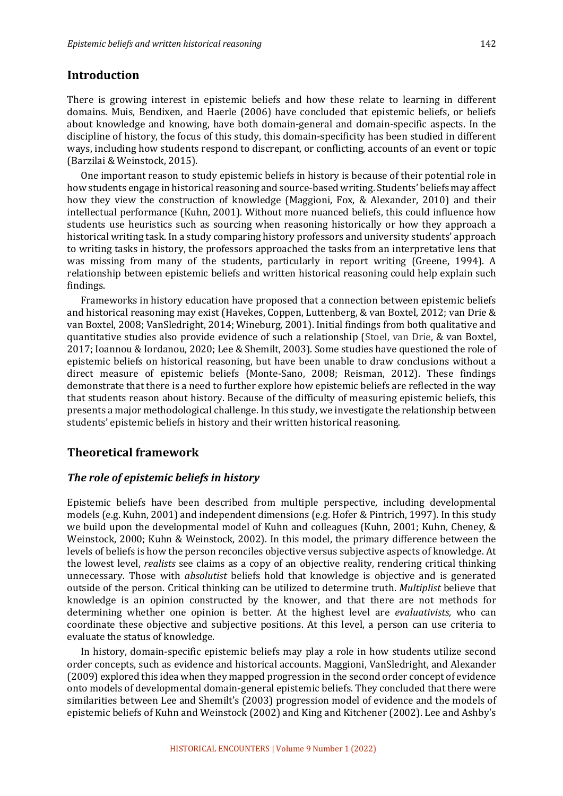## **Introduction**

There is growing interest in epistemic beliefs and how these relate to learning in different domains. Muis, Bendixen, and Haerle (2006) have concluded that epistemic beliefs, or beliefs about knowledge and knowing, have both domain-general and domain-specific aspects. In the discipline of history, the focus of this study, this domain-specificity has been studied in different ways, including how students respond to discrepant, or conflicting, accounts of an event or topic (Barzilai & Weinstock, 2015).

One important reason to study epistemic beliefs in history is because of their potential role in how students engage in historical reasoning and source-based writing. Students' beliefs may affect how they view the construction of knowledge (Maggioni, Fox, & Alexander, 2010) and their intellectual performance (Kuhn, 2001). Without more nuanced beliefs, this could influence how students use heuristics such as sourcing when reasoning historically or how they approach a historical writing task. In a study comparing history professors and university students' approach to writing tasks in history, the professors approached the tasks from an interpretative lens that was missing from many of the students, particularly in report writing (Greene, 1994). A relationship between epistemic beliefs and written historical reasoning could help explain such findings.

Frameworks in history education have proposed that a connection between epistemic beliefs and historical reasoning may exist (Havekes, Coppen, Luttenberg, & van Boxtel, 2012; van Drie & van Boxtel, 2008; VanSledright, 2014; Wineburg, 2001). Initial findings from both qualitative and quantitative studies also provide evidence of such a relationship (Stoel, van Drie, & van Boxtel, 2017; Ioannou & Iordanou, 2020; Lee & Shemilt, 2003). Some studies have questioned the role of epistemic beliefs on historical reasoning, but have been unable to draw conclusions without a direct measure of epistemic beliefs (Monte-Sano, 2008; Reisman, 2012). These findings demonstrate that there is a need to further explore how epistemic beliefs are reflected in the way that students reason about history. Because of the difficulty of measuring epistemic beliefs, this presents a major methodological challenge. In this study, we investigate the relationship between students' epistemic beliefs in history and their written historical reasoning.

## **Theoretical framework**

#### *The role of epistemic beliefs in history*

Epistemic beliefs have been described from multiple perspective, including developmental models (e.g. Kuhn, 2001) and independent dimensions (e.g. Hofer & Pintrich, 1997). In this study we build upon the developmental model of Kuhn and colleagues (Kuhn, 2001; Kuhn, Cheney, & Weinstock, 2000; Kuhn & Weinstock, 2002). In this model, the primary difference between the levels of beliefs is how the person reconciles objective versus subjective aspects of knowledge. At the lowest level, *realists* see claims as a copy of an objective reality, rendering critical thinking unnecessary. Those with *absolutist* beliefs hold that knowledge is objective and is generated outside of the person. Critical thinking can be utilized to determine truth. *Multiplist* believe that knowledge is an opinion constructed by the knower, and that there are not methods for determining whether one opinion is better. At the highest level are *evaluativists*, who can coordinate these objective and subjective positions. At this level, a person can use criteria to evaluate the status of knowledge.

In history, domain-specific epistemic beliefs may play a role in how students utilize second order concepts, such as evidence and historical accounts. Maggioni, VanSledright, and Alexander (2009) explored this idea when they mapped progression in the second order concept of evidence onto models of developmental domain-general epistemic beliefs. They concluded that there were similarities between Lee and Shemilt's (2003) progression model of evidence and the models of epistemic beliefs of Kuhn and Weinstock (2002) and King and Kitchener (2002). Lee and Ashby's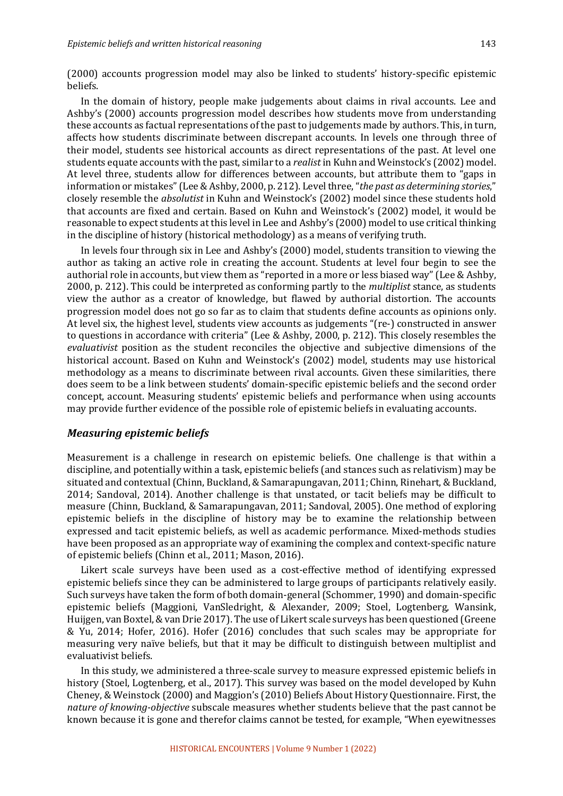(2000) accounts progression model may also be linked to students' history-specific epistemic beliefs.

In the domain of history, people make judgements about claims in rival accounts. Lee and Ashby's (2000) accounts progression model describes how students move from understanding these accounts as factual representations of the past to judgements made by authors. This, in turn, affects how students discriminate between discrepant accounts. In levels one through three of their model, students see historical accounts as direct representations of the past. At level one students equate accounts with the past, similar to a *realist* in Kuhn and Weinstock's (2002) model. At level three, students allow for differences between accounts, but attribute them to "gaps in information or mistakes" (Lee & Ashby, 2000, p. 212). Level three, "*the past as determining stories*," closely resemble the *absolutist* in Kuhn and Weinstock's (2002) model since these students hold that accounts are fixed and certain. Based on Kuhn and Weinstock's (2002) model, it would be reasonable to expect students at this level in Lee and Ashby's (2000) model to use critical thinking in the discipline of history (historical methodology) as a means of verifying truth.

In levels four through six in Lee and Ashby's (2000) model, students transition to viewing the author as taking an active role in creating the account. Students at level four begin to see the authorial role in accounts, but view them as "reported in a more or less biased way" (Lee & Ashby, 2000, p. 212). This could be interpreted as conforming partly to the *multiplist* stance, as students view the author as a creator of knowledge, but flawed by authorial distortion. The accounts progression model does not go so far as to claim that students define accounts as opinions only. At level six, the highest level, students view accounts as judgements "(re-) constructed in answer to questions in accordance with criteria" (Lee & Ashby, 2000, p. 212). This closely resembles the *evaluativist* position as the student reconciles the objective and subjective dimensions of the historical account. Based on Kuhn and Weinstock's (2002) model, students may use historical methodology as a means to discriminate between rival accounts. Given these similarities, there does seem to be a link between students' domain-specific epistemic beliefs and the second order concept, account. Measuring students' epistemic beliefs and performance when using accounts may provide further evidence of the possible role of epistemic beliefs in evaluating accounts.

#### *Measuring epistemic beliefs*

Measurement is a challenge in research on epistemic beliefs. One challenge is that within a discipline, and potentially within a task, epistemic beliefs (and stances such as relativism) may be situated and contextual (Chinn, Buckland, & Samarapungavan, 2011; Chinn, Rinehart, & Buckland, 2014; Sandoval, 2014). Another challenge is that unstated, or tacit beliefs may be difficult to measure (Chinn, Buckland, & Samarapungavan, 2011; Sandoval, 2005). One method of exploring epistemic beliefs in the discipline of history may be to examine the relationship between expressed and tacit epistemic beliefs, as well as academic performance. Mixed-methods studies have been proposed as an appropriate way of examining the complex and context-specific nature of epistemic beliefs (Chinn et al., 2011; Mason, 2016).

Likert scale surveys have been used as a cost-effective method of identifying expressed epistemic beliefs since they can be administered to large groups of participants relatively easily. Such surveys have taken the form of both domain-general (Schommer, 1990) and domain-specific epistemic beliefs (Maggioni, VanSledright, & Alexander, 2009; Stoel, Logtenberg, Wansink, Huijgen, van Boxtel, & van Drie 2017). The use of Likert scale surveys has been questioned (Greene & Yu, 2014; Hofer, 2016). Hofer (2016) concludes that such scales may be appropriate for measuring very naïve beliefs, but that it may be difficult to distinguish between multiplist and evaluativist beliefs.

In this study, we administered a three-scale survey to measure expressed epistemic beliefs in history (Stoel, Logtenberg, et al., 2017). This survey was based on the model developed by Kuhn Cheney, & Weinstock (2000) and Maggion's (2010) Beliefs About History Questionnaire. First, the *nature of knowing-objective* subscale measures whether students believe that the past cannot be known because it is gone and therefor claims cannot be tested, for example, "When eyewitnesses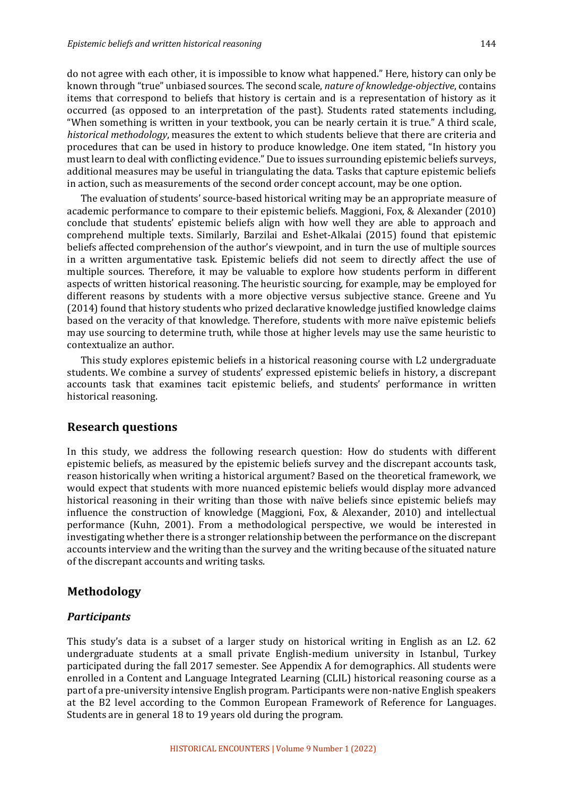do not agree with each other, it is impossible to know what happened." Here, history can only be known through "true" unbiased sources. The second scale, *nature of knowledge-objective*, contains items that correspond to beliefs that history is certain and is a representation of history as it occurred (as opposed to an interpretation of the past). Students rated statements including, "When something is written in your textbook, you can be nearly certain it is true." A third scale, *historical methodology*, measures the extent to which students believe that there are criteria and procedures that can be used in history to produce knowledge. One item stated, "In history you must learn to deal with conflicting evidence." Due to issues surrounding epistemic beliefs surveys, additional measures may be useful in triangulating the data. Tasks that capture epistemic beliefs in action, such as measurements of the second order concept account, may be one option.

The evaluation of students' source-based historical writing may be an appropriate measure of academic performance to compare to their epistemic beliefs. Maggioni, Fox, & Alexander (2010) conclude that students' epistemic beliefs align with how well they are able to approach and comprehend multiple texts. Similarly, Barzilai and Eshet-Alkalai (2015) found that epistemic beliefs affected comprehension of the author's viewpoint, and in turn the use of multiple sources in a written argumentative task. Epistemic beliefs did not seem to directly affect the use of multiple sources. Therefore, it may be valuable to explore how students perform in different aspects of written historical reasoning. The heuristic sourcing, for example, may be employed for different reasons by students with a more objective versus subjective stance. Greene and Yu (2014) found that history students who prized declarative knowledge justified knowledge claims based on the veracity of that knowledge. Therefore, students with more naïve epistemic beliefs may use sourcing to determine truth, while those at higher levels may use the same heuristic to contextualize an author.

This study explores epistemic beliefs in a historical reasoning course with L2 undergraduate students. We combine a survey of students' expressed epistemic beliefs in history, a discrepant accounts task that examines tacit epistemic beliefs, and students' performance in written historical reasoning.

## **Research questions**

In this study, we address the following research question: How do students with different epistemic beliefs, as measured by the epistemic beliefs survey and the discrepant accounts task, reason historically when writing a historical argument? Based on the theoretical framework, we would expect that students with more nuanced epistemic beliefs would display more advanced historical reasoning in their writing than those with naïve beliefs since epistemic beliefs may influence the construction of knowledge (Maggioni, Fox, & Alexander, 2010) and intellectual performance (Kuhn, 2001). From a methodological perspective, we would be interested in investigating whether there is a stronger relationship between the performance on the discrepant accounts interview and the writing than the survey and the writing because of the situated nature of the discrepant accounts and writing tasks.

## **Methodology**

## *Participants*

This study's data is a subset of a larger study on historical writing in English as an L2. 62 undergraduate students at a small private English-medium university in Istanbul, Turkey participated during the fall 2017 semester. See Appendix A for demographics. All students were enrolled in a Content and Language Integrated Learning (CLIL) historical reasoning course as a part of a pre-university intensive English program. Participants were non-native English speakers at the B2 level according to the Common European Framework of Reference for Languages. Students are in general 18 to 19 years old during the program.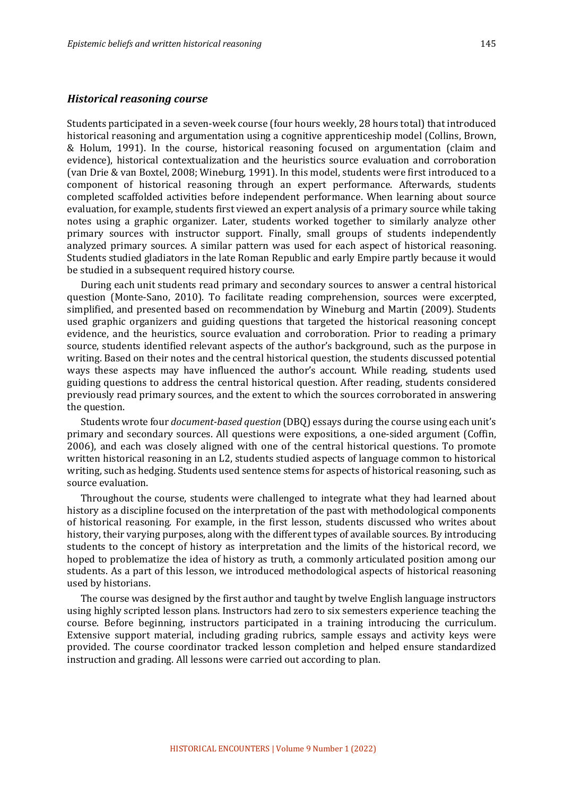#### *Historical reasoning course*

Students participated in a seven-week course (four hours weekly, 28 hours total) that introduced historical reasoning and argumentation using a cognitive apprenticeship model (Collins, Brown, & Holum, 1991). In the course, historical reasoning focused on argumentation (claim and evidence), historical contextualization and the heuristics source evaluation and corroboration (van Drie & van Boxtel, 2008; Wineburg, 1991). In this model, students were first introduced to a component of historical reasoning through an expert performance. Afterwards, students completed scaffolded activities before independent performance. When learning about source evaluation, for example, students first viewed an expert analysis of a primary source while taking notes using a graphic organizer. Later, students worked together to similarly analyze other primary sources with instructor support. Finally, small groups of students independently analyzed primary sources. A similar pattern was used for each aspect of historical reasoning. Students studied gladiators in the late Roman Republic and early Empire partly because it would be studied in a subsequent required history course.

During each unit students read primary and secondary sources to answer a central historical question (Monte-Sano, 2010). To facilitate reading comprehension, sources were excerpted, simplified, and presented based on recommendation by Wineburg and Martin (2009). Students used graphic organizers and guiding questions that targeted the historical reasoning concept evidence, and the heuristics, source evaluation and corroboration. Prior to reading a primary source, students identified relevant aspects of the author's background, such as the purpose in writing. Based on their notes and the central historical question, the students discussed potential ways these aspects may have influenced the author's account. While reading, students used guiding questions to address the central historical question. After reading, students considered previously read primary sources, and the extent to which the sources corroborated in answering the question.

Students wrote four *document-based question* (DBQ) essays during the course using each unit's primary and secondary sources. All questions were expositions, a one-sided argument (Coffin, 2006), and each was closely aligned with one of the central historical questions. To promote written historical reasoning in an L2, students studied aspects of language common to historical writing, such as hedging. Students used sentence stems for aspects of historical reasoning, such as source evaluation.

Throughout the course, students were challenged to integrate what they had learned about history as a discipline focused on the interpretation of the past with methodological components of historical reasoning. For example, in the first lesson, students discussed who writes about history, their varying purposes, along with the different types of available sources. By introducing students to the concept of history as interpretation and the limits of the historical record, we hoped to problematize the idea of history as truth, a commonly articulated position among our students. As a part of this lesson, we introduced methodological aspects of historical reasoning used by historians.

The course was designed by the first author and taught by twelve English language instructors using highly scripted lesson plans. Instructors had zero to six semesters experience teaching the course. Before beginning, instructors participated in a training introducing the curriculum. Extensive support material, including grading rubrics, sample essays and activity keys were provided. The course coordinator tracked lesson completion and helped ensure standardized instruction and grading. All lessons were carried out according to plan.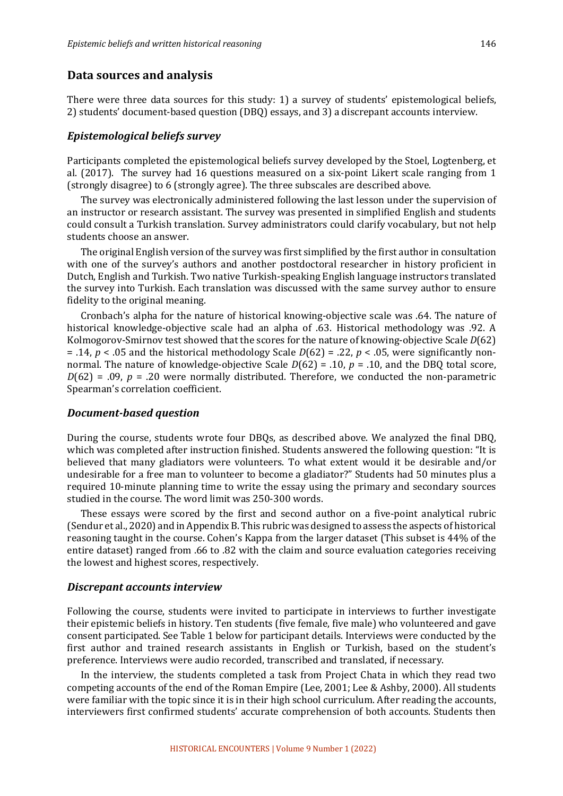#### **Data sources and analysis**

There were three data sources for this study: 1) a survey of students' epistemological beliefs, 2) students' document-based question (DBQ) essays, and 3) a discrepant accounts interview.

#### *Epistemological beliefs survey*

Participants completed the epistemological beliefs survey developed by the Stoel, Logtenberg, et al.  $(2017)$ . The survey had 16 questions measured on a six-point Likert scale ranging from 1 (strongly disagree) to 6 (strongly agree). The three subscales are described above.

The survey was electronically administered following the last lesson under the supervision of an instructor or research assistant. The survey was presented in simplified English and students could consult a Turkish translation. Survey administrators could clarify vocabulary, but not help students choose an answer.

The original English version of the survey was first simplified by the first author in consultation with one of the survey's authors and another postdoctoral researcher in history proficient in Dutch, English and Turkish. Two native Turkish-speaking English language instructors translated the survey into Turkish. Each translation was discussed with the same survey author to ensure fidelity to the original meaning.

Cronbach's alpha for the nature of historical knowing-objective scale was .64. The nature of historical knowledge-objective scale had an alpha of .63. Historical methodology was .92. A Kolmogorov-Smirnov test showed that the scores for the nature of knowing-objective Scale *D*(62) = .14,  $p < .05$  and the historical methodology Scale  $D(62) = .22$ ,  $p < .05$ , were significantly nonnormal. The nature of knowledge-objective Scale  $D(62) = .10$ ,  $p = .10$ , and the DBQ total score,  $D(62) = .09$ ,  $p = .20$  were normally distributed. Therefore, we conducted the non-parametric Spearman's correlation coefficient.

#### *Document-based question*

During the course, students wrote four DBQs, as described above. We analyzed the final DBQ, which was completed after instruction finished. Students answered the following question: "It is believed that many gladiators were volunteers. To what extent would it be desirable and/or undesirable for a free man to volunteer to become a gladiator?" Students had 50 minutes plus a required 10-minute planning time to write the essay using the primary and secondary sources studied in the course. The word limit was 250-300 words.

These essays were scored by the first and second author on a five-point analytical rubric (Sendur et al., 2020) and in Appendix B. This rubric was designed to assess the aspects of historical reasoning taught in the course. Cohen's Kappa from the larger dataset (This subset is 44% of the entire dataset) ranged from .66 to .82 with the claim and source evaluation categories receiving the lowest and highest scores, respectively.

#### *Discrepant accounts interview*

Following the course, students were invited to participate in interviews to further investigate their epistemic beliefs in history. Ten students (five female, five male) who volunteered and gave consent participated. See Table 1 below for participant details. Interviews were conducted by the first author and trained research assistants in English or Turkish, based on the student's preference. Interviews were audio recorded, transcribed and translated, if necessary.

In the interview, the students completed a task from Project Chata in which they read two competing accounts of the end of the Roman Empire (Lee, 2001; Lee & Ashby, 2000). All students were familiar with the topic since it is in their high school curriculum. After reading the accounts, interviewers first confirmed students' accurate comprehension of both accounts. Students then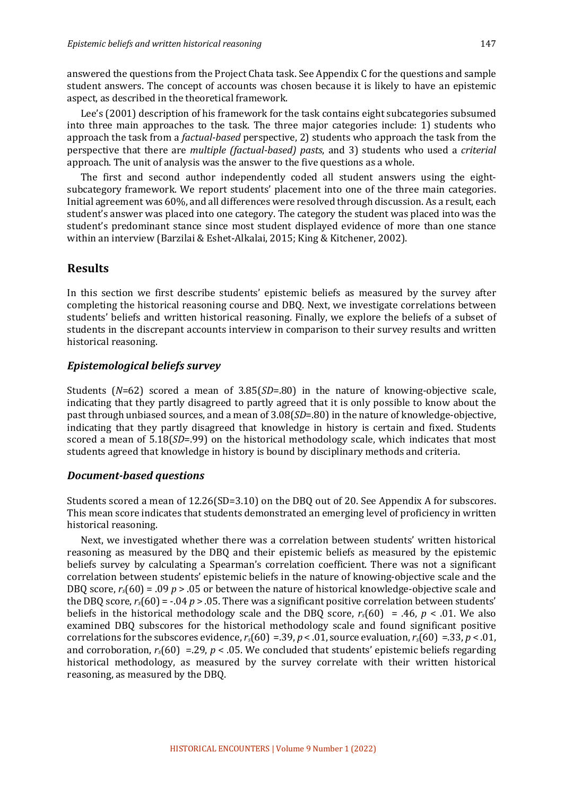answered the questions from the Project Chata task. See Appendix C for the questions and sample student answers. The concept of accounts was chosen because it is likely to have an epistemic aspect, as described in the theoretical framework.

Lee's (2001) description of his framework for the task contains eight subcategories subsumed into three main approaches to the task. The three major categories include: 1) students who approach the task from a *factual-based* perspective, 2) students who approach the task from the perspective that there are *multiple (factual-based)* pasts, and 3) students who used a *criterial* approach. The unit of analysis was the answer to the five questions as a whole.

The first and second author independently coded all student answers using the eightsubcategory framework. We report students' placement into one of the three main categories. Initial agreement was 60%, and all differences were resolved through discussion. As a result, each student's answer was placed into one category. The category the student was placed into was the student's predominant stance since most student displayed evidence of more than one stance within an interview (Barzilai & Eshet-Alkalai, 2015; King & Kitchener, 2002).

## **Results**

In this section we first describe students' epistemic beliefs as measured by the survey after completing the historical reasoning course and DBQ. Next, we investigate correlations between students' beliefs and written historical reasoning. Finally, we explore the beliefs of a subset of students in the discrepant accounts interview in comparison to their survey results and written historical reasoning.

## *Epistemological beliefs survey*

Students  $(N=62)$  scored a mean of  $3.85(SD=.80)$  in the nature of knowing-objective scale, indicating that they partly disagreed to partly agreed that it is only possible to know about the past through unbiased sources, and a mean of 3.08(*SD*=.80) in the nature of knowledge-objective, indicating that they partly disagreed that knowledge in history is certain and fixed. Students scored a mean of 5.18(*SD*=.99) on the historical methodology scale, which indicates that most students agreed that knowledge in history is bound by disciplinary methods and criteria.

#### *Document-based questions*

Students scored a mean of  $12.26(SD=3.10)$  on the DBQ out of 20. See Appendix A for subscores. This mean score indicates that students demonstrated an emerging level of proficiency in written historical reasoning.

Next, we investigated whether there was a correlation between students' written historical reasoning as measured by the DBQ and their epistemic beliefs as measured by the epistemic beliefs survey by calculating a Spearman's correlation coefficient. There was not a significant correlation between students' epistemic beliefs in the nature of knowing-objective scale and the DBQ score,  $r_s(60) = .09$  *p* > .05 or between the nature of historical knowledge-objective scale and the DBQ score,  $r_s(60) = -.04$   $p > .05$ . There was a significant positive correlation between students' beliefs in the historical methodology scale and the DBQ score,  $r_s(60) = .46$ ,  $p < .01$ . We also examined DBQ subscores for the historical methodology scale and found significant positive correlations for the subscores evidence,  $r_s(60) = 0.39$ ,  $p < 0.01$ , source evaluation,  $r_s(60) = 0.33$ ,  $p < 0.01$ , and corroboration,  $r_s(60) = 29$ ,  $p < 0.05$ . We concluded that students' epistemic beliefs regarding historical methodology, as measured by the survey correlate with their written historical reasoning, as measured by the DBQ.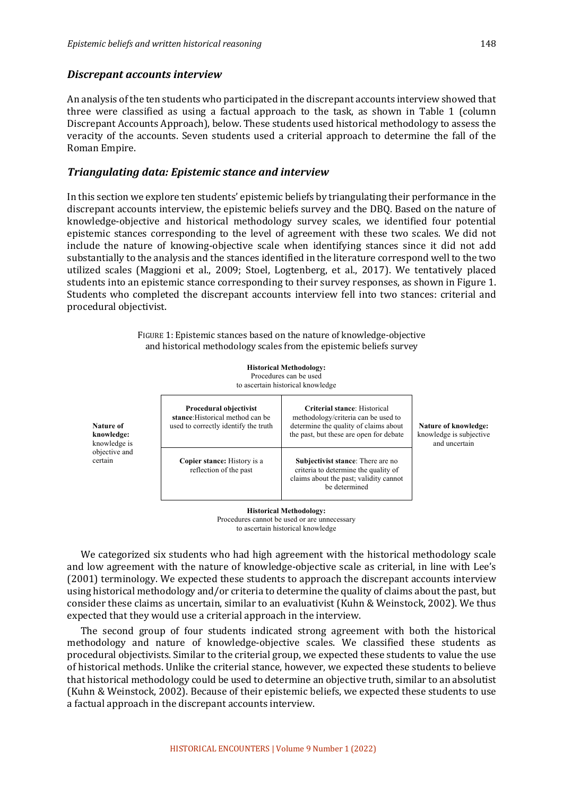#### *Discrepant accounts interview*

An analysis of the ten students who participated in the discrepant accounts interview showed that three were classified as using a factual approach to the task, as shown in Table 1 (column Discrepant Accounts Approach), below. These students used historical methodology to assess the veracity of the accounts. Seven students used a criterial approach to determine the fall of the Roman Empire. 

#### *Triangulating data: Epistemic stance and interview*

In this section we explore ten students' epistemic beliefs by triangulating their performance in the discrepant accounts interview, the epistemic beliefs survey and the DBO. Based on the nature of knowledge-objective and historical methodology survey scales, we identified four potential epistemic stances corresponding to the level of agreement with these two scales. We did not include the nature of knowing-objective scale when identifying stances since it did not add substantially to the analysis and the stances identified in the literature correspond well to the two utilized scales (Maggioni et al., 2009; Stoel, Logtenberg, et al., 2017). We tentatively placed students into an epistemic stance corresponding to their survey responses, as shown in Figure 1. Students who completed the discrepant accounts interview fell into two stances: criterial and procedural objectivist.

> FIGURE 1: Epistemic stances based on the nature of knowledge-objective and historical methodology scales from the epistemic beliefs survey

> > **Historical Methodology:** Procedures can be used

to ascertain historical knowledge

| Procedural objectivist<br>stance: Historical method can be<br>used to correctly identify the truth | Criterial stance: Historical<br>methodology/criteria can be used to<br>determine the quality of claims about<br>the past, but these are open for debate | Nature of kn<br>knowledge is<br>and unce |  |
|----------------------------------------------------------------------------------------------------|---------------------------------------------------------------------------------------------------------------------------------------------------------|------------------------------------------|--|
| Copier stance: History is a<br>reflection of the past                                              | <b>Subjectivist stance:</b> There are no<br>criteria to determine the quality of<br>claims about the past; validity cannot<br>be determined             |                                          |  |

**Nature of knowledge:** knowledge is objective and certain

> **Historical Methodology:** Procedures cannot be used or are unnecessary to ascertain historical knowledge

**Nature of knowledge:** subjective ertain

We categorized six students who had high agreement with the historical methodology scale and low agreement with the nature of knowledge-objective scale as criterial, in line with Lee's (2001) terminology. We expected these students to approach the discrepant accounts interview using historical methodology and/or criteria to determine the quality of claims about the past, but consider these claims as uncertain, similar to an evaluativist (Kuhn & Weinstock, 2002). We thus expected that they would use a criterial approach in the interview.

The second group of four students indicated strong agreement with both the historical methodology and nature of knowledge-objective scales. We classified these students as procedural objectivists. Similar to the criterial group, we expected these students to value the use of historical methods. Unlike the criterial stance, however, we expected these students to believe that historical methodology could be used to determine an objective truth, similar to an absolutist (Kuhn & Weinstock, 2002). Because of their epistemic beliefs, we expected these students to use a factual approach in the discrepant accounts interview.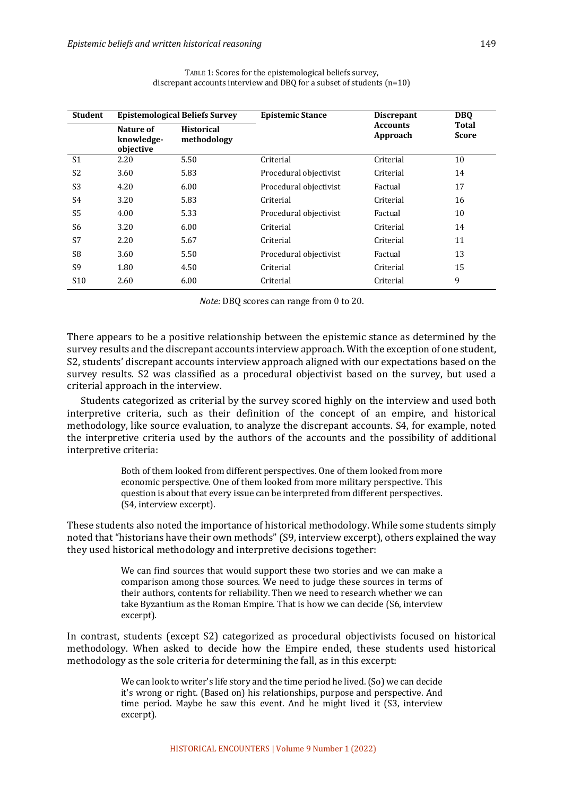| <b>Student</b>  | <b>Epistemological Beliefs Survey</b> |                                  | <b>Epistemic Stance</b> | <b>Discrepant</b>           | <b>DBO</b>            |
|-----------------|---------------------------------------|----------------------------------|-------------------------|-----------------------------|-----------------------|
|                 | Nature of<br>knowledge-<br>objective  | <b>Historical</b><br>methodology |                         | <b>Accounts</b><br>Approach | Total<br><b>Score</b> |
| S <sub>1</sub>  | 2.20                                  | 5.50                             | Criterial               | Criterial                   | 10                    |
| S <sub>2</sub>  | 3.60                                  | 5.83                             | Procedural objectivist  | Criterial                   | 14                    |
| S <sub>3</sub>  | 4.20                                  | 6.00                             | Procedural objectivist  | Factual                     | 17                    |
| S4              | 3.20                                  | 5.83                             | Criterial               | Criterial                   | 16                    |
| S <sub>5</sub>  | 4.00                                  | 5.33                             | Procedural objectivist  | Factual                     | 10                    |
| S <sub>6</sub>  | 3.20                                  | 6.00                             | Criterial               | Criterial                   | 14                    |
| S7              | 2.20                                  | 5.67                             | Criterial               | Criterial                   | 11                    |
| S <sub>8</sub>  | 3.60                                  | 5.50                             | Procedural objectivist  | Factual                     | 13                    |
| S <sub>9</sub>  | 1.80                                  | 4.50                             | Criterial               | Criterial                   | 15                    |
| S <sub>10</sub> | 2.60                                  | 6.00                             | Criterial               | Criterial                   | 9                     |

TABLE 1: Scores for the epistemological beliefs survey, discrepant accounts interview and DBQ for a subset of students  $(n=10)$ 

*Note:* DBQ scores can range from 0 to 20.

There appears to be a positive relationship between the epistemic stance as determined by the survey results and the discrepant accounts interview approach. With the exception of one student, S2, students' discrepant accounts interview approach aligned with our expectations based on the survey results. S2 was classified as a procedural objectivist based on the survey, but used a criterial approach in the interview.

Students categorized as criterial by the survey scored highly on the interview and used both interpretive criteria, such as their definition of the concept of an empire, and historical methodology, like source evaluation, to analyze the discrepant accounts. S4, for example, noted the interpretive criteria used by the authors of the accounts and the possibility of additional interpretive criteria:

> Both of them looked from different perspectives. One of them looked from more economic perspective. One of them looked from more military perspective. This question is about that every issue can be interpreted from different perspectives. (S4, interview excerpt).

These students also noted the importance of historical methodology. While some students simply noted that "historians have their own methods" (S9, interview excerpt), others explained the way they used historical methodology and interpretive decisions together:

> We can find sources that would support these two stories and we can make a comparison among those sources. We need to judge these sources in terms of their authors, contents for reliability. Then we need to research whether we can take Byzantium as the Roman Empire. That is how we can decide (S6, interview excerpt).

In contrast, students (except S2) categorized as procedural objectivists focused on historical methodology. When asked to decide how the Empire ended, these students used historical methodology as the sole criteria for determining the fall, as in this excerpt:

> We can look to writer's life story and the time period he lived. (So) we can decide it's wrong or right. (Based on) his relationships, purpose and perspective. And time period. Maybe he saw this event. And he might lived it (S3, interview excerpt).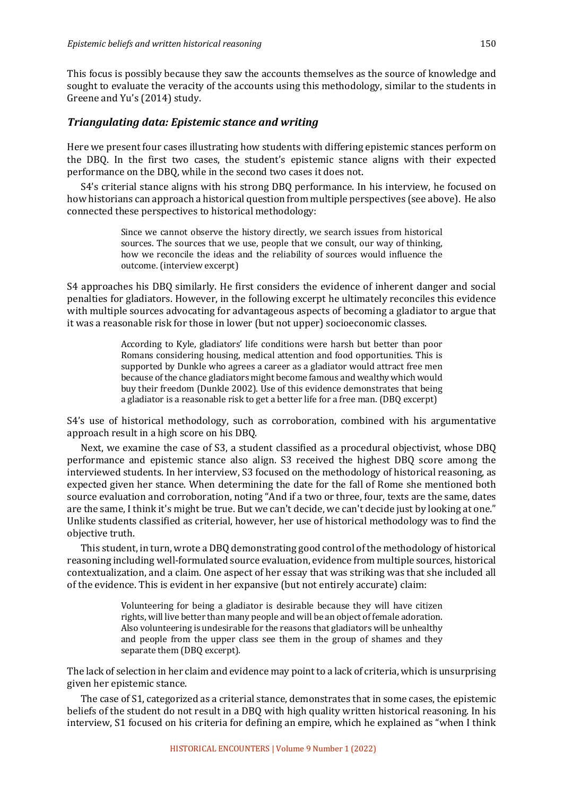This focus is possibly because they saw the accounts themselves as the source of knowledge and sought to evaluate the veracity of the accounts using this methodology, similar to the students in Greene and Yu's (2014) study.

## *Triangulating data: Epistemic stance and writing*

Here we present four cases illustrating how students with differing epistemic stances perform on the DBQ. In the first two cases, the student's epistemic stance aligns with their expected performance on the DBQ, while in the second two cases it does not.

S4's criterial stance aligns with his strong DBQ performance. In his interview, he focused on how historians can approach a historical question from multiple perspectives (see above). He also connected these perspectives to historical methodology:

> Since we cannot observe the history directly, we search issues from historical sources. The sources that we use, people that we consult, our way of thinking, how we reconcile the ideas and the reliability of sources would influence the outcome. (interview excerpt)

S4 approaches his DBQ similarly. He first considers the evidence of inherent danger and social penalties for gladiators. However, in the following excerpt he ultimately reconciles this evidence with multiple sources advocating for advantageous aspects of becoming a gladiator to argue that it was a reasonable risk for those in lower (but not upper) socioeconomic classes.

> According to Kyle, gladiators' life conditions were harsh but better than poor Romans considering housing, medical attention and food opportunities. This is supported by Dunkle who agrees a career as a gladiator would attract free men because of the chance gladiators might become famous and wealthy which would buy their freedom (Dunkle 2002). Use of this evidence demonstrates that being a gladiator is a reasonable risk to get a better life for a free man. (DBQ excerpt)

S4's use of historical methodology, such as corroboration, combined with his argumentative approach result in a high score on his DBQ.

Next, we examine the case of S3, a student classified as a procedural objectivist, whose DBQ performance and epistemic stance also align. S3 received the highest DBQ score among the interviewed students. In her interview, S3 focused on the methodology of historical reasoning, as expected given her stance. When determining the date for the fall of Rome she mentioned both source evaluation and corroboration, noting "And if a two or three, four, texts are the same, dates are the same, I think it's might be true. But we can't decide, we can't decide just by looking at one." Unlike students classified as criterial, however, her use of historical methodology was to find the objective truth.

This student, in turn, wrote a DBQ demonstrating good control of the methodology of historical reasoning including well-formulated source evaluation, evidence from multiple sources, historical contextualization, and a claim. One aspect of her essay that was striking was that she included all of the evidence. This is evident in her expansive (but not entirely accurate) claim:

> Volunteering for being a gladiator is desirable because they will have citizen rights, will live better than many people and will be an object of female adoration. Also volunteering is undesirable for the reasons that gladiators will be unhealthy and people from the upper class see them in the group of shames and they separate them (DBQ excerpt).

The lack of selection in her claim and evidence may point to a lack of criteria, which is unsurprising given her epistemic stance.

The case of S1, categorized as a criterial stance, demonstrates that in some cases, the epistemic beliefs of the student do not result in a DBQ with high quality written historical reasoning. In his interview, S1 focused on his criteria for defining an empire, which he explained as "when I think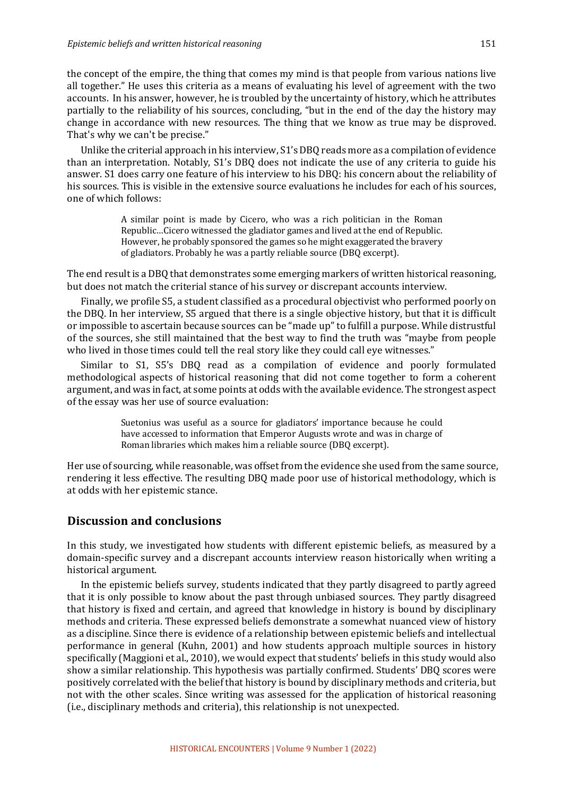the concept of the empire, the thing that comes my mind is that people from various nations live all together." He uses this criteria as a means of evaluating his level of agreement with the two accounts. In his answer, however, he is troubled by the uncertainty of history, which he attributes partially to the reliability of his sources, concluding, "but in the end of the day the history may change in accordance with new resources. The thing that we know as true may be disproved. That's why we can't be precise."

Unlike the criterial approach in his interview, S1's DBQ reads more as a compilation of evidence than an interpretation. Notably, S1's DBQ does not indicate the use of any criteria to guide his answer. S1 does carry one feature of his interview to his DBQ: his concern about the reliability of his sources. This is visible in the extensive source evaluations he includes for each of his sources, one of which follows:

> A similar point is made by Cicero, who was a rich politician in the Roman Republic...Cicero witnessed the gladiator games and lived at the end of Republic. However, he probably sponsored the games so he might exaggerated the bravery of gladiators. Probably he was a partly reliable source (DBQ excerpt).

The end result is a DBQ that demonstrates some emerging markers of written historical reasoning, but does not match the criterial stance of his survey or discrepant accounts interview.

Finally, we profile S5, a student classified as a procedural objectivist who performed poorly on the DBQ. In her interview, S5 argued that there is a single objective history, but that it is difficult or impossible to ascertain because sources can be "made up" to fulfill a purpose. While distrustful of the sources, she still maintained that the best way to find the truth was "maybe from people who lived in those times could tell the real story like they could call eye witnesses."

Similar to S1, S5's DBQ read as a compilation of evidence and poorly formulated methodological aspects of historical reasoning that did not come together to form a coherent argument, and was in fact, at some points at odds with the available evidence. The strongest aspect of the essay was her use of source evaluation:

> Suetonius was useful as a source for gladiators' importance because he could have accessed to information that Emperor Augusts wrote and was in charge of Roman libraries which makes him a reliable source (DBQ excerpt).

Her use of sourcing, while reasonable, was offset from the evidence she used from the same source, rendering it less effective. The resulting DBQ made poor use of historical methodology, which is at odds with her epistemic stance.

## **Discussion and conclusions**

In this study, we investigated how students with different epistemic beliefs, as measured by a domain-specific survey and a discrepant accounts interview reason historically when writing a historical argument.

In the epistemic beliefs survey, students indicated that they partly disagreed to partly agreed that it is only possible to know about the past through unbiased sources. They partly disagreed that history is fixed and certain, and agreed that knowledge in history is bound by disciplinary methods and criteria. These expressed beliefs demonstrate a somewhat nuanced view of history as a discipline. Since there is evidence of a relationship between epistemic beliefs and intellectual performance in general (Kuhn, 2001) and how students approach multiple sources in history specifically (Maggioni et al., 2010), we would expect that students' beliefs in this study would also show a similar relationship. This hypothesis was partially confirmed. Students' DBQ scores were positively correlated with the belief that history is bound by disciplinary methods and criteria, but not with the other scales. Since writing was assessed for the application of historical reasoning (i.e., disciplinary methods and criteria), this relationship is not unexpected.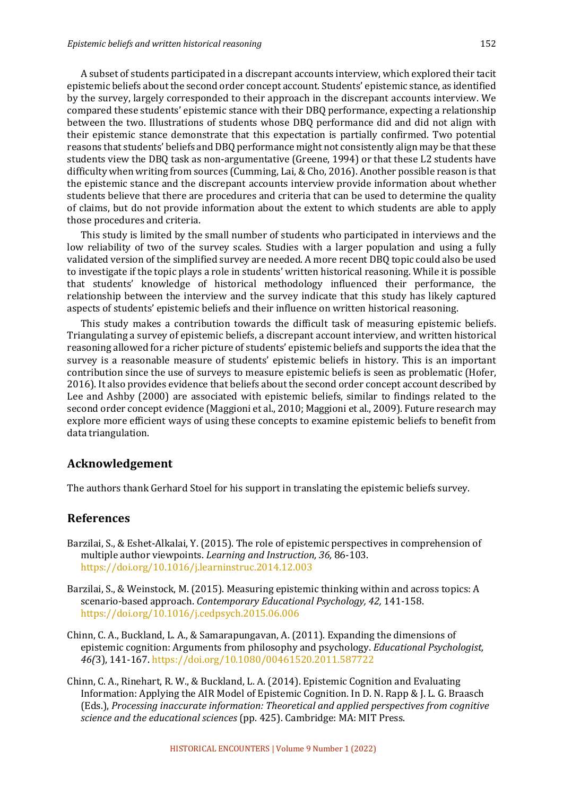A subset of students participated in a discrepant accounts interview, which explored their tacit epistemic beliefs about the second order concept account. Students' epistemic stance, as identified by the survey, largely corresponded to their approach in the discrepant accounts interview. We compared these students' epistemic stance with their DBQ performance, expecting a relationship between the two. Illustrations of students whose DBQ performance did and did not align with their epistemic stance demonstrate that this expectation is partially confirmed. Two potential reasons that students' beliefs and DBQ performance might not consistently align may be that these students view the DBQ task as non-argumentative (Greene, 1994) or that these L2 students have difficulty when writing from sources (Cumming, Lai,  $&$  Cho, 2016). Another possible reason is that the epistemic stance and the discrepant accounts interview provide information about whether students believe that there are procedures and criteria that can be used to determine the quality of claims, but do not provide information about the extent to which students are able to apply those procedures and criteria.

This study is limited by the small number of students who participated in interviews and the low reliability of two of the survey scales. Studies with a larger population and using a fully validated version of the simplified survey are needed. A more recent DBQ topic could also be used to investigate if the topic plays a role in students' written historical reasoning. While it is possible that students' knowledge of historical methodology influenced their performance, the relationship between the interview and the survey indicate that this study has likely captured aspects of students' epistemic beliefs and their influence on written historical reasoning.

This study makes a contribution towards the difficult task of measuring epistemic beliefs. Triangulating a survey of epistemic beliefs, a discrepant account interview, and written historical reasoning allowed for a richer picture of students' epistemic beliefs and supports the idea that the survey is a reasonable measure of students' epistemic beliefs in history. This is an important contribution since the use of surveys to measure epistemic beliefs is seen as problematic (Hofer, 2016). It also provides evidence that beliefs about the second order concept account described by Lee and Ashby (2000) are associated with epistemic beliefs, similar to findings related to the second order concept evidence (Maggioni et al., 2010; Maggioni et al., 2009). Future research may explore more efficient ways of using these concepts to examine epistemic beliefs to benefit from data triangulation.

#### **Acknowledgement**

The authors thank Gerhard Stoel for his support in translating the epistemic beliefs survey.

#### **References**

- Barzilai, S., & Eshet-Alkalai, Y. (2015). The role of epistemic perspectives in comprehension of multiple author viewpoints. *Learning and Instruction*, 36, 86-103. https://doi.org/10.1016/j.learninstruc.2014.12.003
- Barzilai, S., & Weinstock, M. (2015). Measuring epistemic thinking within and across topics: A scenario-based approach. *Contemporary Educational Psychology, 42,* 141-158. https://doi.org/10.1016/j.cedpsych.2015.06.006
- Chinn, C. A., Buckland, L. A., & Samarapungavan, A. (2011). Expanding the dimensions of epistemic cognition: Arguments from philosophy and psychology. *Educational Psychologist*, *46(*3), 141-167. https://doi.org/10.1080/00461520.2011.587722
- Chinn, C. A., Rinehart, R. W., & Buckland, L. A. (2014). Epistemic Cognition and Evaluating Information: Applying the AIR Model of Epistemic Cognition. In D. N. Rapp & J. L. G. Braasch (Eds.), *Processing inaccurate information: Theoretical and applied perspectives from cognitive science and the educational sciences* (pp. 425). Cambridge: MA: MIT Press.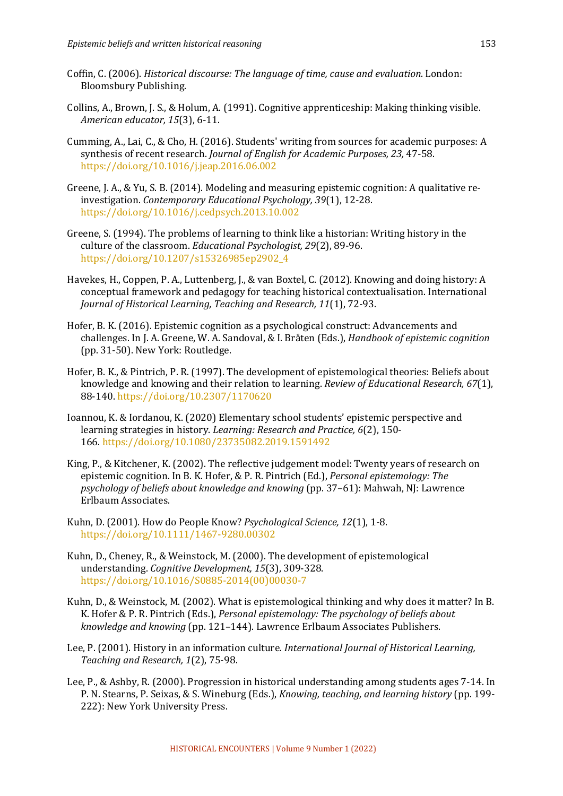- Coffin, C. (2006). *Historical discourse: The language of time, cause and evaluation*. London: Bloomsbury Publishing.
- Collins, A., Brown, J. S., & Holum, A. (1991). Cognitive apprenticeship: Making thinking visible. *American educator, 15*(3), 6-11.
- Cumming, A., Lai, C., & Cho, H. (2016). Students' writing from sources for academic purposes: A synthesis of recent research. *Journal of English for Academic Purposes, 23, 47-58.* https://doi.org/10.1016/j.jeap.2016.06.002
- Greene, J. A., & Yu, S. B. (2014). Modeling and measuring epistemic cognition: A qualitative reinvestigation. Contemporary Educational Psychology, 39(1), 12-28. https://doi.org/10.1016/j.cedpsych.2013.10.002
- Greene, S. (1994). The problems of learning to think like a historian: Writing history in the culture of the classroom. *Educational Psychologist*, 29(2), 89-96. https://doi.org/10.1207/s15326985ep2902\_4
- Havekes, H., Coppen, P. A., Luttenberg, J., & van Boxtel, C. (2012). Knowing and doing history: A conceptual framework and pedagogy for teaching historical contextualisation. International Journal of Historical Learning, Teaching and Research, 11(1), 72-93.
- Hofer, B. K. (2016). Epistemic cognition as a psychological construct: Advancements and challenges. In J. A. Greene, W. A. Sandoval, & I. Bråten (Eds.), *Handbook of epistemic cognition* (pp. 31-50). New York: Routledge.
- Hofer, B. K., & Pintrich, P. R. (1997). The development of epistemological theories: Beliefs about knowledge and knowing and their relation to learning. *Review of Educational Research,* 67(1), 88-140. https://doi.org/10.2307/1170620
- Ioannou, K. & Iordanou, K. (2020) Elementary school students' epistemic perspective and learning strategies in history. *Learning: Research and Practice, 6*(2), 150-166. https://doi.org/10.1080/23735082.2019.1591492
- King, P., & Kitchener, K. (2002). The reflective judgement model: Twenty years of research on epistemic cognition. In B. K. Hofer, & P. R. Pintrich (Ed.), *Personal epistemology: The psychology of beliefs about knowledge and knowing* (pp. 37–61): Mahwah, NJ: Lawrence Erlbaum Associates.
- Kuhn, D. (2001). How do People Know? *Psychological Science, 12*(1), 1-8. https://doi.org/10.1111/1467-9280.00302
- Kuhn, D., Cheney, R., & Weinstock, M. (2000). The development of epistemological understanding. *Cognitive Development*, 15(3), 309-328. https://doi.org/10.1016/S0885-2014(00)00030-7
- Kuhn, D., & Weinstock, M. (2002). What is epistemological thinking and why does it matter? In B. K. Hofer & P. R. Pintrich (Eds.), *Personal epistemology: The psychology of beliefs about knowledge and knowing* (pp. 121–144). Lawrence Erlbaum Associates Publishers.
- Lee, P. (2001). History in an information culture. *International Journal of Historical Learning*, *Teaching and Research, 1*(2), 75-98.
- Lee, P., & Ashby, R. (2000). Progression in historical understanding among students ages 7-14. In P. N. Stearns, P. Seixas, & S. Wineburg (Eds.), *Knowing, teaching, and learning history* (pp. 199-222): New York University Press.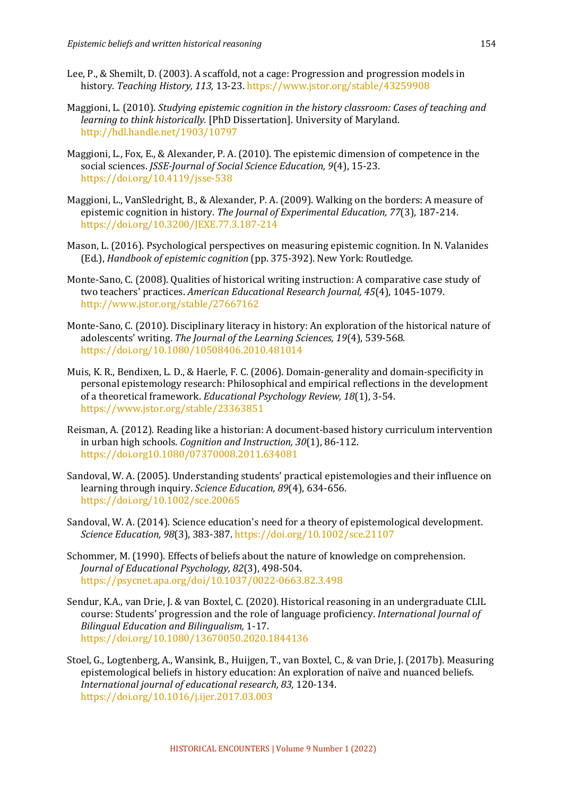- Lee, P., & Shemilt, D. (2003). A scaffold, not a cage: Progression and progression models in history. *Teaching History, 113, 13-23. https://www.jstor.org/stable/43259908*
- Maggioni, L. (2010). *Studying epistemic cognition in the history classroom: Cases of teaching and learning to think historically.* [PhD Dissertation]. University of Maryland. http://hdl.handle.net/1903/10797
- Maggioni, L., Fox, E., & Alexander, P. A. (2010). The epistemic dimension of competence in the social sciences. *JSSE-Journal of Social Science Education*, 9(4), 15-23. https://doi.org/10.4119/jsse-538
- Maggioni, L., VanSledright, B., & Alexander, P. A. (2009). Walking on the borders: A measure of epistemic cognition in history. The Journal of Experimental Education, 77(3), 187-214. https://doi.org/10.3200/JEXE.77.3.187-214
- Mason, L. (2016). Psychological perspectives on measuring epistemic cognition. In N. Valanides (Ed.), *Handbook of epistemic cognition* (pp. 375-392). New York: Routledge.
- Monte-Sano, C. (2008). Qualities of historical writing instruction: A comparative case study of two teachers' practices. American Educational Research Journal, 45(4), 1045-1079. http://www.jstor.org/stable/27667162
- Monte-Sano, C. (2010). Disciplinary literacy in history: An exploration of the historical nature of adolescents' writing. The Journal of the Learning Sciences, 19(4), 539-568. https://doi.org/10.1080/10508406.2010.481014
- Muis, K. R., Bendixen, L. D., & Haerle, F. C. (2006). Domain-generality and domain-specificity in personal epistemology research: Philosophical and empirical reflections in the development of a theoretical framework. *Educational Psychology Review, 18*(1), 3-54. https://www.jstor.org/stable/23363851
- Reisman, A. (2012). Reading like a historian: A document-based history curriculum intervention in urban high schools. *Cognition and Instruction*, 30(1), 86-112. https://doi.org10.1080/07370008.2011.634081
- Sandoval, W. A. (2005). Understanding students' practical epistemologies and their influence on learning through inquiry. *Science Education*, 89(4), 634-656. https://doi.org/10.1002/sce.20065
- Sandoval, W. A. (2014). Science education's need for a theory of epistemological development. *Science Education, 98*(3), 383-387. https://doi.org/10.1002/sce.21107
- Schommer, M. (1990). Effects of beliefs about the nature of knowledge on comprehension. *Journal of Educational Psychology, 82*(3), 498-504. https://psycnet.apa.org/doi/10.1037/0022-0663.82.3.498
- Sendur, K.A., van Drie, J. & van Boxtel, C. (2020). Historical reasoning in an undergraduate CLIL course: Students' progression and the role of language proficiency. *International Journal of Bilingual Education and Bilingualism,* 1-17. https://doi.org/10.1080/13670050.2020.1844136
- Stoel, G., Logtenberg, A., Wansink, B., Huijgen, T., van Boxtel, C., & van Drie, J. (2017b). Measuring epistemological beliefs in history education: An exploration of naïve and nuanced beliefs. *International journal of educational research, 83,* 120-134. https://doi.org/10.1016/j.ijer.2017.03.003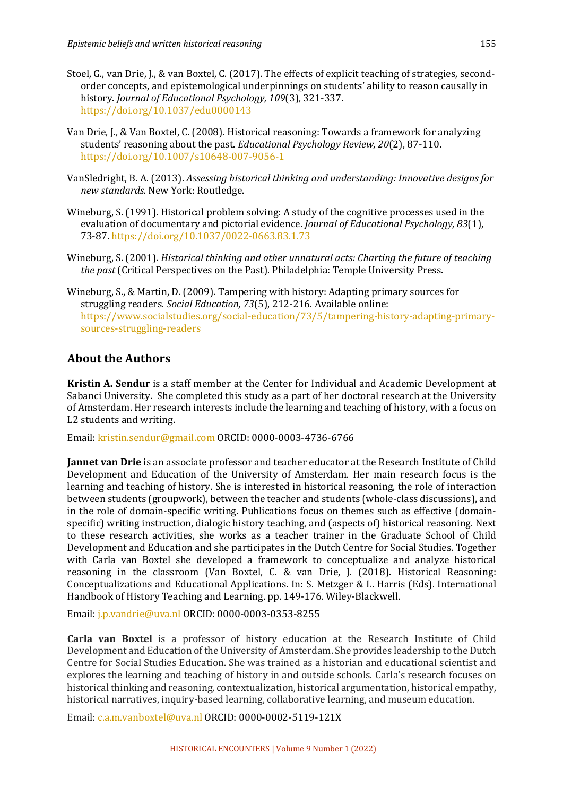- Stoel, G., van Drie, J., & van Boxtel, C. (2017). The effects of explicit teaching of strategies, secondorder concepts, and epistemological underpinnings on students' ability to reason causally in history. *Journal of Educational Psychology, 109*(3), 321-337. https://doi.org/10.1037/edu0000143
- Van Drie, I., & Van Boxtel, C. (2008). Historical reasoning: Towards a framework for analyzing students' reasoning about the past. *Educational Psychology Review, 20*(2), 87-110. https://doi.org/10.1007/s10648-007-9056-1
- VanSledright, B. A. (2013). *Assessing historical thinking and understanding: Innovative designs for new standards.* New York: Routledge.
- Wineburg, S. (1991). Historical problem solving: A study of the cognitive processes used in the evaluation of documentary and pictorial evidence. *Journal of Educational Psychology*, 83(1), 73-87. https://doi.org/10.1037/0022-0663.83.1.73
- Wineburg, S. (2001). *Historical thinking and other unnatural acts: Charting the future of teaching the past* (Critical Perspectives on the Past). Philadelphia: Temple University Press.
- Wineburg, S., & Martin, D. (2009). Tampering with history: Adapting primary sources for struggling readers. *Social Education, 73*(5), 212-216. Available online: https://www.socialstudies.org/social-education/73/5/tampering-history-adapting-primarysources-struggling-readers

## **About the Authors**

**Kristin A. Sendur** is a staff member at the Center for Individual and Academic Development at Sabanci University. She completed this study as a part of her doctoral research at the University of Amsterdam. Her research interests include the learning and teaching of history, with a focus on L2 students and writing.

Email: kristin.sendur@gmail.com ORCID: 0000-0003-4736-6766

**Jannet van Drie** is an associate professor and teacher educator at the Research Institute of Child Development and Education of the University of Amsterdam. Her main research focus is the learning and teaching of history. She is interested in historical reasoning, the role of interaction between students (groupwork), between the teacher and students (whole-class discussions), and in the role of domain-specific writing. Publications focus on themes such as effective (domainspecific) writing instruction, dialogic history teaching, and (aspects of) historical reasoning. Next to these research activities, she works as a teacher trainer in the Graduate School of Child Development and Education and she participates in the Dutch Centre for Social Studies. Together with Carla van Boxtel she developed a framework to conceptualize and analyze historical reasoning in the classroom (Van Boxtel, C. & van Drie, J. (2018). Historical Reasoning: Conceptualizations and Educational Applications. In: S. Metzger & L. Harris (Eds). International Handbook of History Teaching and Learning. pp. 149-176. Wiley-Blackwell.

Email: j.p.vandrie@uva.nl ORCID: 0000-0003-0353-8255

**Carla van Boxtel** is a professor of history education at the Research Institute of Child Development and Education of the University of Amsterdam. She provides leadership to the Dutch Centre for Social Studies Education. She was trained as a historian and educational scientist and explores the learning and teaching of history in and outside schools. Carla's research focuses on historical thinking and reasoning, contextualization, historical argumentation, historical empathy, historical narratives, inquiry-based learning, collaborative learning, and museum education.

Email: c.a.m.vanboxtel@uva.nl ORCID: 0000-0002-5119-121X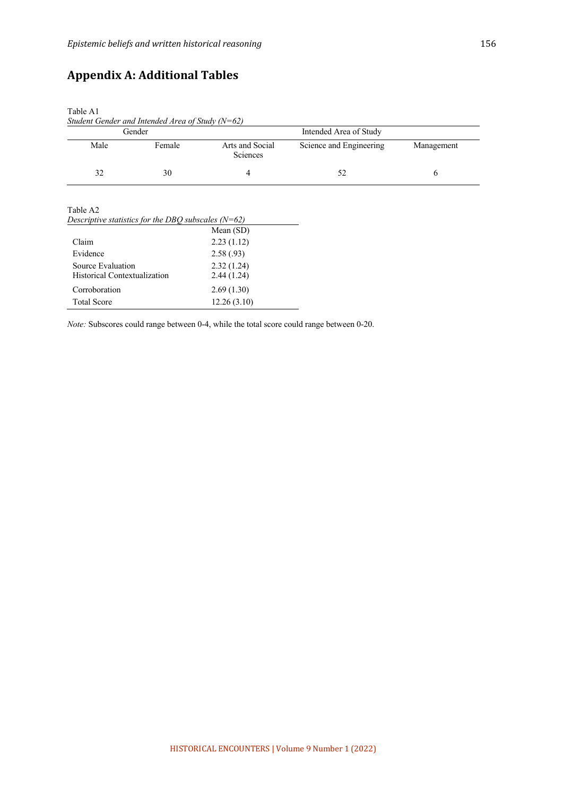Total Score 12.26 (3.10)

# **Appendix A: Additional Tables**

| Table A1<br>Student Gender and Intended Area of Study $(N=62)$<br>Gender |        |                             | Intended Area of Study  |            |  |
|--------------------------------------------------------------------------|--------|-----------------------------|-------------------------|------------|--|
|                                                                          |        |                             |                         |            |  |
| Male                                                                     | Female | Arts and Social<br>Sciences | Science and Engineering | Management |  |
| 32                                                                       | 30     | 4                           | 52                      | 6          |  |
| Descriptive statistics for the DBQ subscales $(N=62)$<br>Mean $(SD)$     |        |                             |                         |            |  |
| Claim<br>2.23(1.12)                                                      |        |                             |                         |            |  |
| Evidence<br>2.58(.93)                                                    |        |                             |                         |            |  |
| Source Evaluation<br>2.32(1.24)                                          |        |                             |                         |            |  |
| Historical Contextualization                                             |        | 2.44(1.24)                  |                         |            |  |
| Corroboration<br>2.69(1.30)                                              |        |                             |                         |            |  |

*Note:* Subscores could range between 0-4, while the total score could range between 0-20.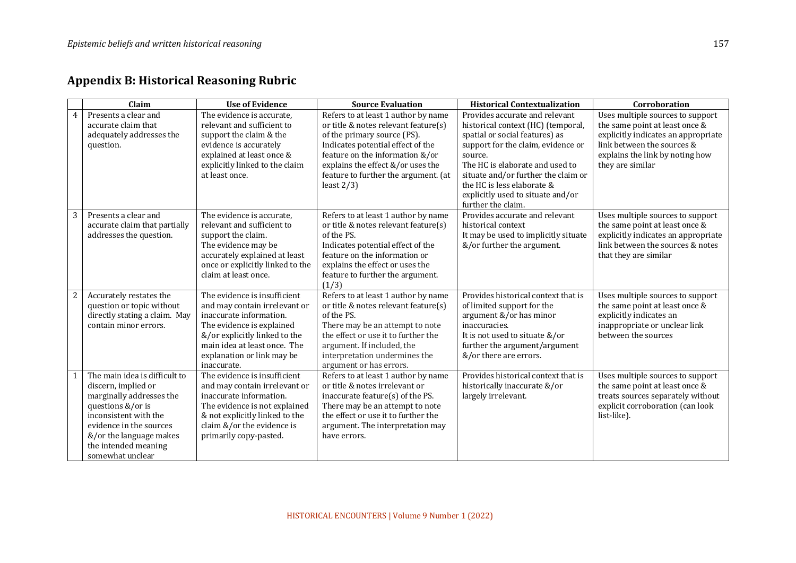|                  | Claim                                                                                                                                                                                                                            | <b>Use of Evidence</b>                                                                                                                                                                                                              | <b>Source Evaluation</b>                                                                                                                                                                                                                                                         | <b>Historical Contextualization</b>                                                                                                                                                                                                                                                                                        | Corroboration                                                                                                                                                                                  |
|------------------|----------------------------------------------------------------------------------------------------------------------------------------------------------------------------------------------------------------------------------|-------------------------------------------------------------------------------------------------------------------------------------------------------------------------------------------------------------------------------------|----------------------------------------------------------------------------------------------------------------------------------------------------------------------------------------------------------------------------------------------------------------------------------|----------------------------------------------------------------------------------------------------------------------------------------------------------------------------------------------------------------------------------------------------------------------------------------------------------------------------|------------------------------------------------------------------------------------------------------------------------------------------------------------------------------------------------|
| 4                | Presents a clear and<br>accurate claim that<br>adequately addresses the<br>question.                                                                                                                                             | The evidence is accurate,<br>relevant and sufficient to<br>support the claim & the<br>evidence is accurately<br>explained at least once &<br>explicitly linked to the claim<br>at least once.                                       | Refers to at least 1 author by name<br>or title & notes relevant feature(s)<br>of the primary source (PS).<br>Indicates potential effect of the<br>feature on the information &/or<br>explains the effect &/or uses the<br>feature to further the argument. (at<br>least $2/3$ ) | Provides accurate and relevant<br>historical context (HC) (temporal,<br>spatial or social features) as<br>support for the claim, evidence or<br>source.<br>The HC is elaborate and used to<br>situate and/or further the claim or<br>the HC is less elaborate &<br>explicitly used to situate and/or<br>further the claim. | Uses multiple sources to support<br>the same point at least once &<br>explicitly indicates an appropriate<br>link between the sources &<br>explains the link by noting how<br>they are similar |
| 3                | Presents a clear and<br>accurate claim that partially<br>addresses the question.                                                                                                                                                 | The evidence is accurate,<br>relevant and sufficient to<br>support the claim.<br>The evidence may be<br>accurately explained at least<br>once or explicitly linked to the<br>claim at least once.                                   | Refers to at least 1 author by name<br>or title & notes relevant feature(s)<br>of the PS.<br>Indicates potential effect of the<br>feature on the information or<br>explains the effect or uses the<br>feature to further the argument.<br>(1/3)                                  | Provides accurate and relevant<br>historical context<br>It may be used to implicitly situate<br>&/or further the argument.                                                                                                                                                                                                 | Uses multiple sources to support<br>the same point at least once &<br>explicitly indicates an appropriate<br>link between the sources & notes<br>that they are similar                         |
| $\boldsymbol{2}$ | Accurately restates the<br>question or topic without<br>directly stating a claim. May<br>contain minor errors.                                                                                                                   | The evidence is insufficient<br>and may contain irrelevant or<br>inaccurate information.<br>The evidence is explained<br>&/or explicitly linked to the<br>main idea at least once. The<br>explanation or link may be<br>inaccurate. | Refers to at least 1 author by name<br>or title & notes relevant feature(s)<br>of the PS.<br>There may be an attempt to note<br>the effect or use it to further the<br>argument. If included, the<br>interpretation undermines the<br>argument or has errors.                    | Provides historical context that is<br>of limited support for the<br>argument &/or has minor<br>inaccuracies.<br>It is not used to situate &/or<br>further the argument/argument<br>&/or there are errors.                                                                                                                 | Uses multiple sources to support<br>the same point at least once &<br>explicitly indicates an<br>inappropriate or unclear link<br>between the sources                                          |
|                  | The main idea is difficult to<br>discern, implied or<br>marginally addresses the<br>questions &/or is<br>inconsistent with the<br>evidence in the sources<br>&/or the language makes<br>the intended meaning<br>somewhat unclear | The evidence is insufficient<br>and may contain irrelevant or<br>inaccurate information.<br>The evidence is not explained<br>& not explicitly linked to the<br>claim &/or the evidence is<br>primarily copy-pasted.                 | Refers to at least 1 author by name<br>or title & notes irrelevant or<br>inaccurate feature(s) of the PS.<br>There may be an attempt to note<br>the effect or use it to further the<br>argument. The interpretation may<br>have errors.                                          | Provides historical context that is<br>historically inaccurate &/or<br>largely irrelevant.                                                                                                                                                                                                                                 | Uses multiple sources to support<br>the same point at least once &<br>treats sources separately without<br>explicit corroboration (can look<br>list-like).                                     |